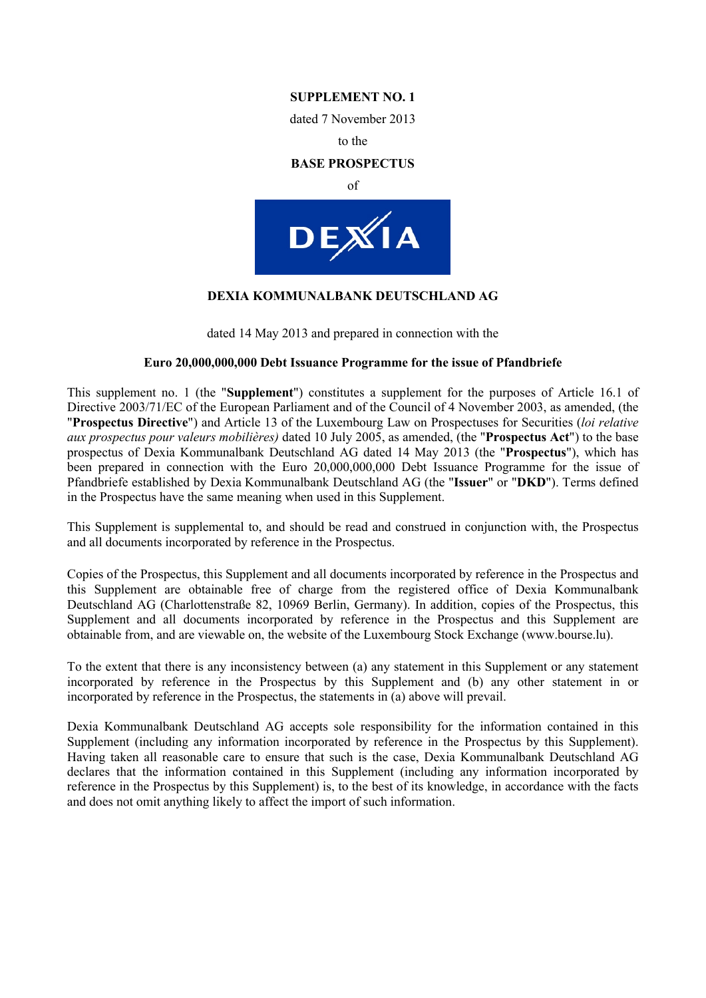## **SUPPLEMENT NO. 1**

dated 7 November 2013

to the

#### **BASE PROSPECTUS**

of



## **DEXIA KOMMUNALBANK DEUTSCHLAND AG**

dated 14 May 2013 and prepared in connection with the

#### **Euro 20,000,000,000 Debt Issuance Programme for the issue of Pfandbriefe**

This supplement no. 1 (the "**Supplement**") constitutes a supplement for the purposes of Article 16.1 of Directive 2003/71/EC of the European Parliament and of the Council of 4 November 2003, as amended, (the "**Prospectus Directive**") and Article 13 of the Luxembourg Law on Prospectuses for Securities (*loi relative aux prospectus pour valeurs mobilières)* dated 10 July 2005, as amended, (the "**Prospectus Act**") to the base prospectus of Dexia Kommunalbank Deutschland AG dated 14 May 2013 (the "**Prospectus**"), which has been prepared in connection with the Euro 20,000,000,000 Debt Issuance Programme for the issue of Pfandbriefe established by Dexia Kommunalbank Deutschland AG (the "**Issuer**" or "**DKD**"). Terms defined in the Prospectus have the same meaning when used in this Supplement.

This Supplement is supplemental to, and should be read and construed in conjunction with, the Prospectus and all documents incorporated by reference in the Prospectus.

Copies of the Prospectus, this Supplement and all documents incorporated by reference in the Prospectus and this Supplement are obtainable free of charge from the registered office of Dexia Kommunalbank Deutschland AG (Charlottenstraße 82, 10969 Berlin, Germany). In addition, copies of the Prospectus, this Supplement and all documents incorporated by reference in the Prospectus and this Supplement are obtainable from, and are viewable on, the website of the Luxembourg Stock Exchange (www.bourse.lu).

To the extent that there is any inconsistency between (a) any statement in this Supplement or any statement incorporated by reference in the Prospectus by this Supplement and (b) any other statement in or incorporated by reference in the Prospectus, the statements in (a) above will prevail.

Dexia Kommunalbank Deutschland AG accepts sole responsibility for the information contained in this Supplement (including any information incorporated by reference in the Prospectus by this Supplement). Having taken all reasonable care to ensure that such is the case, Dexia Kommunalbank Deutschland AG declares that the information contained in this Supplement (including any information incorporated by reference in the Prospectus by this Supplement) is, to the best of its knowledge, in accordance with the facts and does not omit anything likely to affect the import of such information.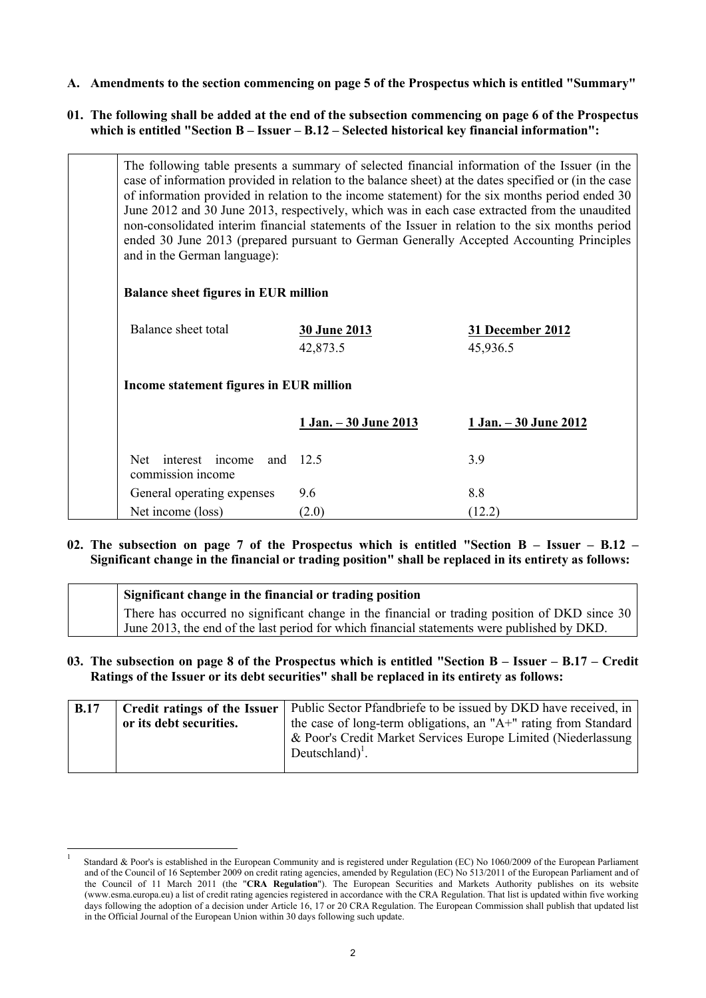**A. Amendments to the section commencing on page 5 of the Prospectus which is entitled "Summary"**

# **01. The following shall be added at the end of the subsection commencing on page 6 of the Prospectus which is entitled "Section B – Issuer – B.12 – Selected historical key financial information":**

| The following table presents a summary of selected financial information of the Issuer (in the<br>case of information provided in relation to the balance sheet) at the dates specified or (in the case<br>of information provided in relation to the income statement) for the six months period ended 30<br>June 2012 and 30 June 2013, respectively, which was in each case extracted from the unaudited<br>non-consolidated interim financial statements of the Issuer in relation to the six months period<br>ended 30 June 2013 (prepared pursuant to German Generally Accepted Accounting Principles<br>and in the German language):<br><b>Balance sheet figures in EUR million</b> |                                 |                              |
|--------------------------------------------------------------------------------------------------------------------------------------------------------------------------------------------------------------------------------------------------------------------------------------------------------------------------------------------------------------------------------------------------------------------------------------------------------------------------------------------------------------------------------------------------------------------------------------------------------------------------------------------------------------------------------------------|---------------------------------|------------------------------|
| Balance sheet total                                                                                                                                                                                                                                                                                                                                                                                                                                                                                                                                                                                                                                                                        | <b>30 June 2013</b><br>42,873.5 | 31 December 2012<br>45,936.5 |
| Income statement figures in EUR million                                                                                                                                                                                                                                                                                                                                                                                                                                                                                                                                                                                                                                                    |                                 |                              |
|                                                                                                                                                                                                                                                                                                                                                                                                                                                                                                                                                                                                                                                                                            | 1 Jan. - 30 June 2013           | 1 Jan. - 30 June 2012        |
| interest income<br>Net.<br>and<br>commission income                                                                                                                                                                                                                                                                                                                                                                                                                                                                                                                                                                                                                                        | 12.5                            | 3.9                          |
| General operating expenses                                                                                                                                                                                                                                                                                                                                                                                                                                                                                                                                                                                                                                                                 | 9.6                             | 8.8                          |
| Net income (loss)                                                                                                                                                                                                                                                                                                                                                                                                                                                                                                                                                                                                                                                                          | (2.0)                           | (12.2)                       |

**02. The subsection on page 7 of the Prospectus which is entitled "Section B – Issuer – B.12 – Significant change in the financial or trading position" shall be replaced in its entirety as follows:**

| Significant change in the financial or trading position                                       |  |
|-----------------------------------------------------------------------------------------------|--|
| There has occurred no significant change in the financial or trading position of DKD since 30 |  |
| June 2013, the end of the last period for which financial statements were published by DKD.   |  |

# **03. The subsection on page 8 of the Prospectus which is entitled "Section B – Issuer – B.17 – Credit Ratings of the Issuer or its debt securities" shall be replaced in its entirety as follows:**

| <b>B.17</b> | Credit ratings of the Issuer | Public Sector Pfandbriefe to be issued by DKD have received, in                               |  |
|-------------|------------------------------|-----------------------------------------------------------------------------------------------|--|
|             | or its debt securities.      | the case of long-term obligations, an "A+" rating from Standard                               |  |
|             |                              | & Poor's Credit Market Services Europe Limited (Niederlassung)<br>Deutschland) <sup>1</sup> . |  |

-

<sup>1</sup> Standard & Poor's is established in the European Community and is registered under Regulation (EC) No 1060/2009 of the European Parliament and of the Council of 16 September 2009 on credit rating agencies, amended by Regulation (EC) No 513/2011 of the European Parliament and of the Council of 11 March 2011 (the "**CRA Regulation**"). The European Securities and Markets Authority publishes on its website (www.esma.europa.eu) a list of credit rating agencies registered in accordance with the CRA Regulation. That list is updated within five working days following the adoption of a decision under Article 16, 17 or 20 CRA Regulation. The European Commission shall publish that updated list in the Official Journal of the European Union within 30 days following such update.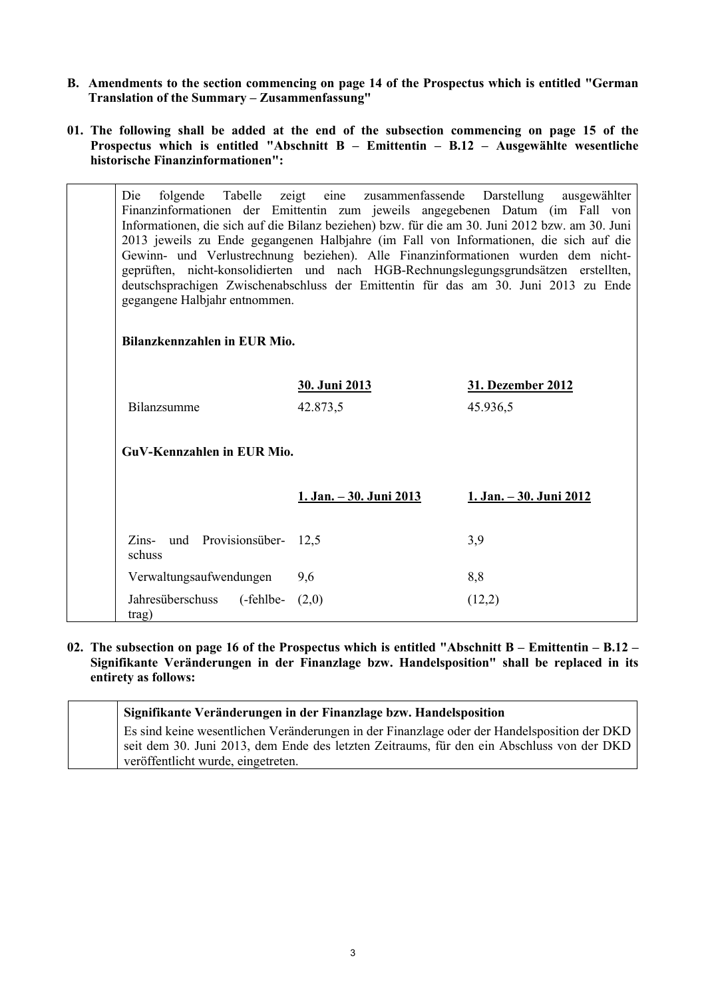- **B. Amendments to the section commencing on page 14 of the Prospectus which is entitled "German Translation of the Summary – Zusammenfassung"**
- **01. The following shall be added at the end of the subsection commencing on page 15 of the Prospectus which is entitled "Abschnitt B – Emittentin – B.12 – Ausgewählte wesentliche historische Finanzinformationen":**

| folgende Tabelle zeigt eine zusammenfassende Darstellung ausgewählter<br>Die<br>Finanzinformationen der Emittentin zum jeweils angegebenen Datum (im Fall von<br>Informationen, die sich auf die Bilanz beziehen) bzw. für die am 30. Juni 2012 bzw. am 30. Juni<br>2013 jeweils zu Ende gegangenen Halbjahre (im Fall von Informationen, die sich auf die<br>Gewinn- und Verlustrechnung beziehen). Alle Finanzinformationen wurden dem nicht-<br>geprüften, nicht-konsolidierten und nach HGB-Rechnungslegungsgrundsätzen erstellten,<br>deutschsprachigen Zwischenabschluss der Emittentin für das am 30. Juni 2013 zu Ende<br>gegangene Halbjahr entnommen. |                                |                                |
|-----------------------------------------------------------------------------------------------------------------------------------------------------------------------------------------------------------------------------------------------------------------------------------------------------------------------------------------------------------------------------------------------------------------------------------------------------------------------------------------------------------------------------------------------------------------------------------------------------------------------------------------------------------------|--------------------------------|--------------------------------|
| Bilanzkennzahlen in EUR Mio.                                                                                                                                                                                                                                                                                                                                                                                                                                                                                                                                                                                                                                    |                                |                                |
|                                                                                                                                                                                                                                                                                                                                                                                                                                                                                                                                                                                                                                                                 | 30. Juni 2013                  | 31. Dezember 2012              |
| Bilanzsumme                                                                                                                                                                                                                                                                                                                                                                                                                                                                                                                                                                                                                                                     | 42.873,5                       | 45.936,5                       |
| GuV-Kennzahlen in EUR Mio.                                                                                                                                                                                                                                                                                                                                                                                                                                                                                                                                                                                                                                      |                                |                                |
|                                                                                                                                                                                                                                                                                                                                                                                                                                                                                                                                                                                                                                                                 | <u>1. Jan. – 30. Juni 2013</u> | <u>1. Jan. – 30. Juni 2012</u> |
| Zins- und Provisionsüber- 12,5<br>schuss                                                                                                                                                                                                                                                                                                                                                                                                                                                                                                                                                                                                                        |                                | 3,9                            |
| Verwaltungsaufwendungen                                                                                                                                                                                                                                                                                                                                                                                                                                                                                                                                                                                                                                         | 9,6                            | 8,8                            |
| Jahresüberschuss (-fehlbe- (2,0)<br>trag)                                                                                                                                                                                                                                                                                                                                                                                                                                                                                                                                                                                                                       |                                | (12,2)                         |

**02. The subsection on page 16 of the Prospectus which is entitled "Abschnitt B – Emittentin – B.12 – Signifikante Veränderungen in der Finanzlage bzw. Handelsposition" shall be replaced in its entirety as follows:**

| Signifikante Veränderungen in der Finanzlage bzw. Handelsposition                           |
|---------------------------------------------------------------------------------------------|
| Es sind keine wesentlichen Veränderungen in der Finanzlage oder der Handelsposition der DKD |
| seit dem 30. Juni 2013, dem Ende des letzten Zeitraums, für den ein Abschluss von der DKD   |
| veröffentlicht wurde, eingetreten.                                                          |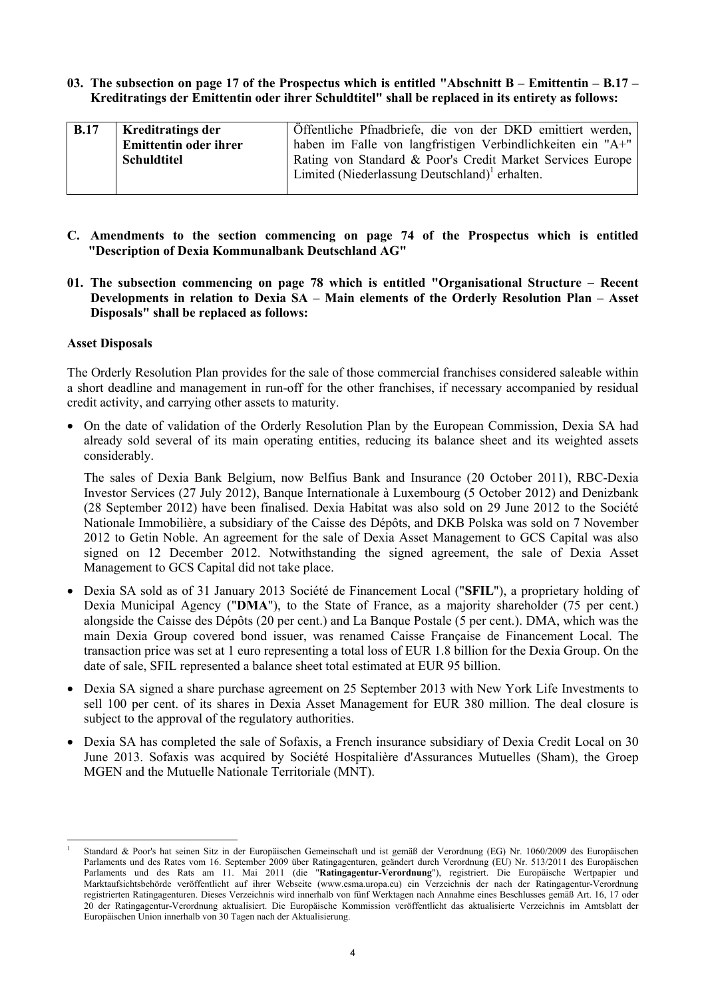**03. The subsection on page 17 of the Prospectus which is entitled "Abschnitt B – Emittentin – B.17 – Kreditratings der Emittentin oder ihrer Schuldtitel" shall be replaced in its entirety as follows:** 

| <b>B.17</b> | <b>Kreditratings der</b>     | Öffentliche Pfnadbriefe, die von der DKD emittiert werden,  |
|-------------|------------------------------|-------------------------------------------------------------|
|             | <b>Emittentin oder ihrer</b> | haben im Falle von langfristigen Verbindlichkeiten ein "A+" |
|             | <b>Schuldtitel</b>           | Rating von Standard & Poor's Credit Market Services Europe  |
|             |                              | Limited (Niederlassung Deutschland) <sup>1</sup> erhalten.  |
|             |                              |                                                             |

- **C. Amendments to the section commencing on page 74 of the Prospectus which is entitled "Description of Dexia Kommunalbank Deutschland AG"**
- **01. The subsection commencing on page 78 which is entitled "Organisational Structure – Recent Developments in relation to Dexia SA – Main elements of the Orderly Resolution Plan – Asset Disposals" shall be replaced as follows:**

#### **Asset Disposals**

The Orderly Resolution Plan provides for the sale of those commercial franchises considered saleable within a short deadline and management in run-off for the other franchises, if necessary accompanied by residual credit activity, and carrying other assets to maturity.

 On the date of validation of the Orderly Resolution Plan by the European Commission, Dexia SA had already sold several of its main operating entities, reducing its balance sheet and its weighted assets considerably.

The sales of Dexia Bank Belgium, now Belfius Bank and Insurance (20 October 2011), RBC-Dexia Investor Services (27 July 2012), Banque Internationale à Luxembourg (5 October 2012) and Denizbank (28 September 2012) have been finalised. Dexia Habitat was also sold on 29 June 2012 to the Société Nationale Immobilière, a subsidiary of the Caisse des Dépôts, and DKB Polska was sold on 7 November 2012 to Getin Noble. An agreement for the sale of Dexia Asset Management to GCS Capital was also signed on 12 December 2012. Notwithstanding the signed agreement, the sale of Dexia Asset Management to GCS Capital did not take place.

- Dexia SA sold as of 31 January 2013 Société de Financement Local ("**SFIL**"), a proprietary holding of Dexia Municipal Agency ("**DMA**"), to the State of France, as a majority shareholder (75 per cent.) alongside the Caisse des Dépôts (20 per cent.) and La Banque Postale (5 per cent.). DMA, which was the main Dexia Group covered bond issuer, was renamed Caisse Française de Financement Local. The transaction price was set at 1 euro representing a total loss of EUR 1.8 billion for the Dexia Group. On the date of sale, SFIL represented a balance sheet total estimated at EUR 95 billion.
- Dexia SA signed a share purchase agreement on 25 September 2013 with New York Life Investments to sell 100 per cent. of its shares in Dexia Asset Management for EUR 380 million. The deal closure is subject to the approval of the regulatory authorities.
- Dexia SA has completed the sale of Sofaxis, a French insurance subsidiary of Dexia Credit Local on 30 June 2013. Sofaxis was acquired by Société Hospitalière d'Assurances Mutuelles (Sham), the Groep MGEN and the Mutuelle Nationale Territoriale (MNT).

<sup>1</sup> 1 Standard & Poor's hat seinen Sitz in der Europäischen Gemeinschaft und ist gemäß der Verordnung (EG) Nr. 1060/2009 des Europäischen Parlaments und des Rates vom 16. September 2009 über Ratingagenturen, geändert durch Verordnung (EU) Nr. 513/2011 des Europäischen Parlaments und des Rats am 11. Mai 2011 (die "**Ratingagentur-Verordnung**"), registriert. Die Europäische Wertpapier und Marktaufsichtsbehörde veröffentlicht auf ihrer Webseite (www.esma.uropa.eu) ein Verzeichnis der nach der Ratingagentur-Verordnung registrierten Ratingagenturen. Dieses Verzeichnis wird innerhalb von fünf Werktagen nach Annahme eines Beschlusses gemäß Art. 16, 17 oder 20 der Ratingagentur-Verordnung aktualisiert. Die Europäische Kommission veröffentlicht das aktualisierte Verzeichnis im Amtsblatt der Europäischen Union innerhalb von 30 Tagen nach der Aktualisierung.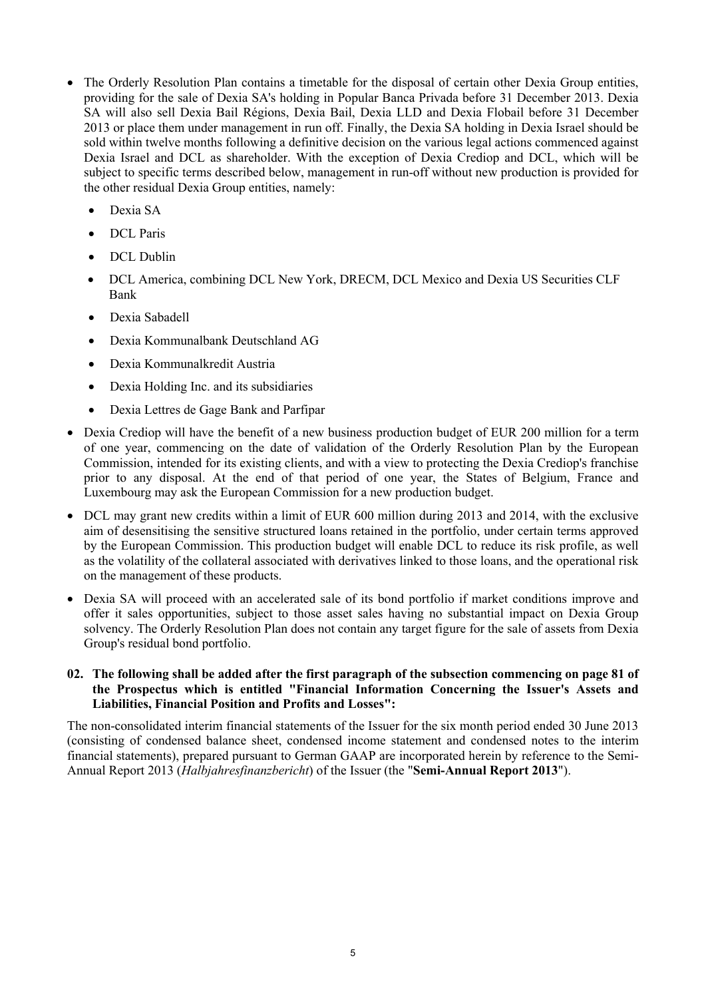- The Orderly Resolution Plan contains a timetable for the disposal of certain other Dexia Group entities, providing for the sale of Dexia SA's holding in Popular Banca Privada before 31 December 2013. Dexia SA will also sell Dexia Bail Régions, Dexia Bail, Dexia LLD and Dexia Flobail before 31 December 2013 or place them under management in run off. Finally, the Dexia SA holding in Dexia Israel should be sold within twelve months following a definitive decision on the various legal actions commenced against Dexia Israel and DCL as shareholder. With the exception of Dexia Crediop and DCL, which will be subject to specific terms described below, management in run-off without new production is provided for the other residual Dexia Group entities, namely:
	- Dexia SA
	- DCL Paris
	- DCL Dublin
	- DCL America, combining DCL New York, DRECM, DCL Mexico and Dexia US Securities CLF Bank
	- Dexia Sabadell
	- Dexia Kommunalbank Deutschland AG
	- Dexia Kommunalkredit Austria
	- Dexia Holding Inc. and its subsidiaries
	- Dexia Lettres de Gage Bank and Parfipar
- Dexia Crediop will have the benefit of a new business production budget of EUR 200 million for a term of one year, commencing on the date of validation of the Orderly Resolution Plan by the European Commission, intended for its existing clients, and with a view to protecting the Dexia Crediop's franchise prior to any disposal. At the end of that period of one year, the States of Belgium, France and Luxembourg may ask the European Commission for a new production budget.
- DCL may grant new credits within a limit of EUR 600 million during 2013 and 2014, with the exclusive aim of desensitising the sensitive structured loans retained in the portfolio, under certain terms approved by the European Commission. This production budget will enable DCL to reduce its risk profile, as well as the volatility of the collateral associated with derivatives linked to those loans, and the operational risk on the management of these products.
- Dexia SA will proceed with an accelerated sale of its bond portfolio if market conditions improve and offer it sales opportunities, subject to those asset sales having no substantial impact on Dexia Group solvency. The Orderly Resolution Plan does not contain any target figure for the sale of assets from Dexia Group's residual bond portfolio.

#### **02. The following shall be added after the first paragraph of the subsection commencing on page 81 of the Prospectus which is entitled "Financial Information Concerning the Issuer's Assets and Liabilities, Financial Position and Profits and Losses":**

The non-consolidated interim financial statements of the Issuer for the six month period ended 30 June 2013 (consisting of condensed balance sheet, condensed income statement and condensed notes to the interim financial statements), prepared pursuant to German GAAP are incorporated herein by reference to the Semi-Annual Report 2013 (*Halbjahresfinanzbericht*) of the Issuer (the "**Semi-Annual Report 2013**").